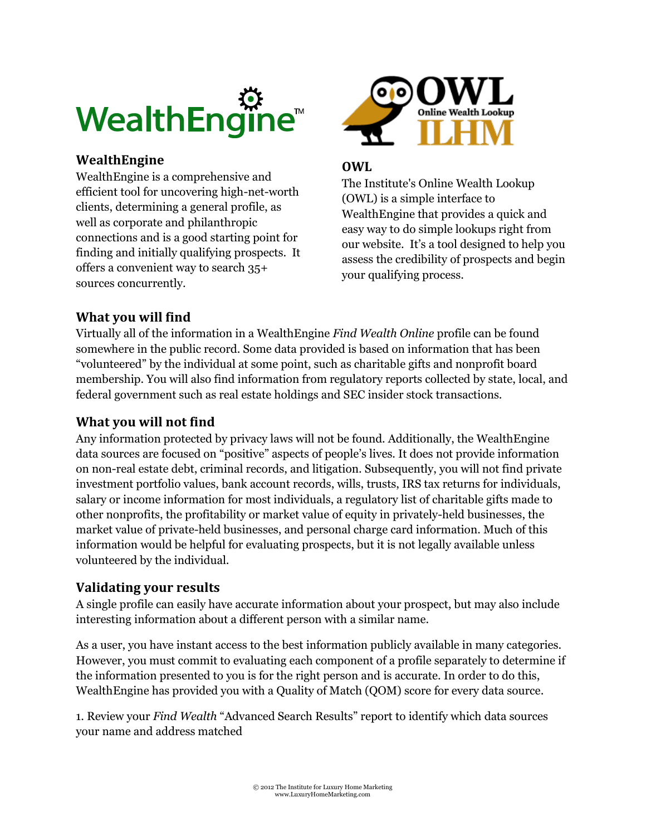

#### **WealthEngine**

WealthEngine is a comprehensive and efficient tool for uncovering high-net-worth clients, determining a general profile, as well as corporate and philanthropic connections and is a good starting point for finding and initially qualifying prospects. It offers a convenient way to search 35+ sources concurrently.



#### **OWL**

The Institute's Online Wealth Lookup (OWL) is a simple interface to WealthEngine that provides a quick and easy way to do simple lookups right from our website. It's a tool designed to help you assess the credibility of prospects and begin your qualifying process.

#### **What you will find**

Virtually all of the information in a WealthEngine *Find Wealth Online* profile can be found somewhere in the public record. Some data provided is based on information that has been "volunteered" by the individual at some point, such as charitable gifts and nonprofit board membership. You will also find information from regulatory reports collected by state, local, and federal government such as real estate holdings and SEC insider stock transactions.

#### **What you will not find**

Any information protected by privacy laws will not be found. Additionally, the WealthEngine data sources are focused on "positive" aspects of people's lives. It does not provide information on non-real estate debt, criminal records, and litigation. Subsequently, you will not find private investment portfolio values, bank account records, wills, trusts, IRS tax returns for individuals, salary or income information for most individuals, a regulatory list of charitable gifts made to other nonprofits, the profitability or market value of equity in privately-held businesses, the market value of private-held businesses, and personal charge card information. Much of this information would be helpful for evaluating prospects, but it is not legally available unless volunteered by the individual.

#### **Validating your results**

A single profile can easily have accurate information about your prospect, but may also include interesting information about a different person with a similar name.

As a user, you have instant access to the best information publicly available in many categories. However, you must commit to evaluating each component of a profile separately to determine if the information presented to you is for the right person and is accurate. In order to do this, WealthEngine has provided you with a Quality of Match (QOM) score for every data source.

1. Review your *Find Wealth* "Advanced Search Results" report to identify which data sources your name and address matched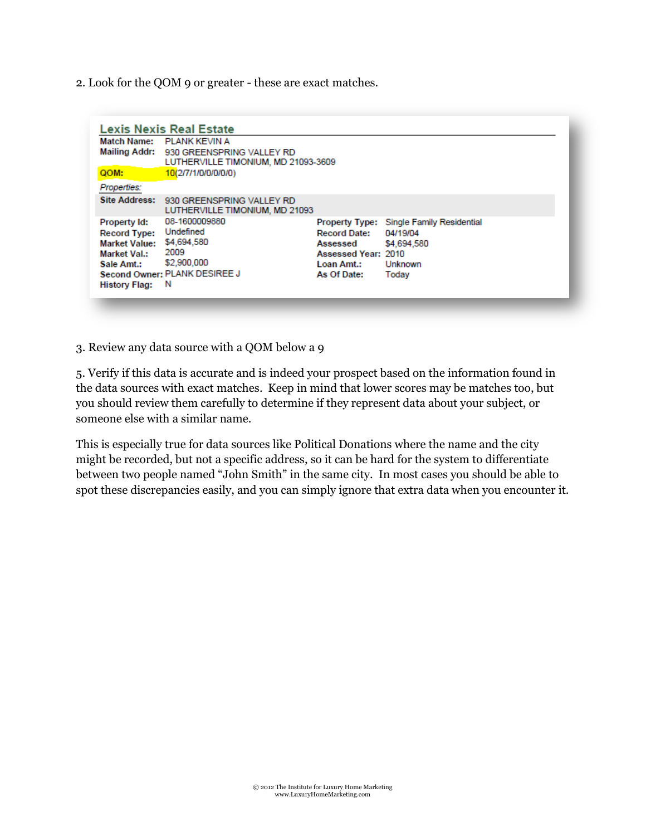2. Look for the QOM 9 or greater - these are exact matches.

|                      | Match Name: PLANK KEVIN A                                                      |                            |                                          |  |
|----------------------|--------------------------------------------------------------------------------|----------------------------|------------------------------------------|--|
|                      | Mailing Addr: 930 GREENSPRING VALLEY RD<br>LUTHERVILLE TIMONIUM, MD 21093-3609 |                            |                                          |  |
| QOM:                 | 10(2/7/1/0/0/0/0/0)                                                            |                            |                                          |  |
| Properties:          |                                                                                |                            |                                          |  |
| <b>Site Address:</b> | 930 GREENSPRING VALLEY RD<br>LUTHERVILLE TIMONIUM, MD 21093                    |                            |                                          |  |
| Property Id:         | 08-1600009880                                                                  |                            | Property Type: Single Family Residential |  |
| <b>Record Type:</b>  | Undefined                                                                      | <b>Record Date:</b>        | 04/19/04                                 |  |
| <b>Market Value:</b> | \$4,694,580<br>2009                                                            | Assessed                   | \$4,694,580                              |  |
| <b>Market Val.:</b>  |                                                                                | <b>Assessed Year: 2010</b> |                                          |  |
| Sale Amt.:           | \$2,900,000                                                                    | Loan Amt.:                 | Unknown                                  |  |
|                      | Second Owner: PLANK DESIREE J                                                  | As Of Date:                | Today                                    |  |
| <b>History Flag:</b> | <b>N</b>                                                                       |                            |                                          |  |

3. Review any data source with a QOM below a 9

5. Verify if this data is accurate and is indeed your prospect based on the information found in the data sources with exact matches. Keep in mind that lower scores may be matches too, but you should review them carefully to determine if they represent data about your subject, or someone else with a similar name.

This is especially true for data sources like Political Donations where the name and the city might be recorded, but not a specific address, so it can be hard for the system to differentiate between two people named "John Smith" in the same city. In most cases you should be able to spot these discrepancies easily, and you can simply ignore that extra data when you encounter it.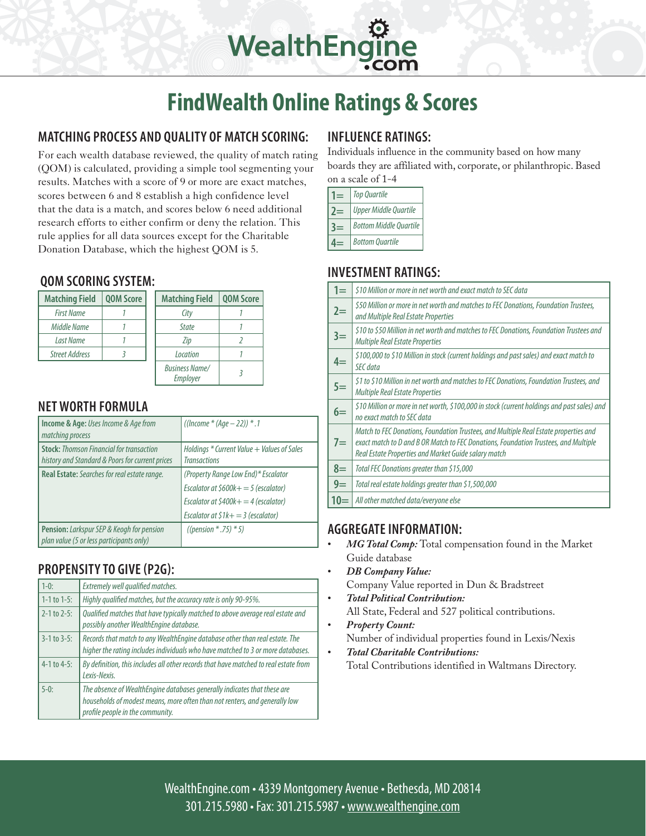# **FindWealth Online Ratings & Scores**

WealthEngin

#### **Matching Process and Quality of Match Scoring:**

For each wealth database reviewed, the quality of match rating (QOM) is calculated, providing a simple tool segmenting your results. Matches with a score of 9 or more are exact matches, scores between 6 and 8 establish a high confidence level that the data is a match, and scores below 6 need additional research efforts to either confirm or deny the relation. This rule applies for all data sources except for the Charitable Donation Database, which the highest QOM is 5.

#### **QOM Scoring System:**

| <b>Matching Field</b> | <b>QOM Score</b> | <b>Matching Field</b>             | <b>QOM Score</b> |
|-----------------------|------------------|-----------------------------------|------------------|
| <b>First Name</b>     |                  | City                              |                  |
| Middle Name           |                  | <b>State</b>                      |                  |
| <b>Last Name</b>      |                  | Zip                               |                  |
| <b>Street Address</b> |                  | Location                          |                  |
|                       |                  | <b>Business Name/</b><br>Employer |                  |

#### **Net Worth Formula**

| Income & Age: Uses Income & Age from<br>matching process                                           | ((Income * (Age $-$ 22)) * .1                                                                                                                              |
|----------------------------------------------------------------------------------------------------|------------------------------------------------------------------------------------------------------------------------------------------------------------|
| <b>Stock: Thomson Financial for transaction</b><br>history and Standard & Poors for current prices | Holdings * Current Value + Values of Sales<br><b>Transactions</b>                                                                                          |
| Real Estate: Searches for real estate range.                                                       | (Property Range Low End)* Escalator<br>Escalator at $$600k+=5$ (escalator)<br>Escalator at $$400k+ = 4$ (escalator)<br>Escalator at $$1k+ = 3$ (escalator) |
| <b>Pension:</b> Larkspur SEP & Keogh for pension<br>plan value (5 or less participants only)       | ((pension $*$ .75) $*$ 5)                                                                                                                                  |

#### **Propensity to Give (P2G):**

| $1-0$ :              | Extremely well qualified matches.                                                                                                                                                          |
|----------------------|--------------------------------------------------------------------------------------------------------------------------------------------------------------------------------------------|
| $1-1$ to $1-5$ :     | Highly qualified matches, but the accuracy rate is only 90-95%.                                                                                                                            |
| $2-1$ to $2-5$ :     | Qualified matches that have typically matched to above average real estate and<br>possibly another WealthEngine database.                                                                  |
| $3 - 1$ to $3 - 5$ : | Records that match to any WealthEngine database other than real estate. The<br>higher the rating includes individuals who have matched to 3 or more databases.                             |
| $4-1$ to $4-5$ :     | By definition, this includes all other records that have matched to real estate from<br>Lexis-Nexis.                                                                                       |
| $5-0:$               | The absence of WealthEngine databases generally indicates that these are<br>households of modest means, more often than not renters, and generally low<br>profile people in the community. |

#### **Influence Ratings:**

Individuals influence in the community based on how many boards they are affiliated with, corporate, or philanthropic. Based on a scale of 1-4

| <b>Top Quartile</b>           |
|-------------------------------|
| <b>Upper Middle Quartile</b>  |
| <b>Bottom Middle Ouartile</b> |
| <b>Bottom Quartile</b>        |

#### **Investment Ratings:**

| $1 =$ | \$10 Million or more in net worth and exact match to SEC data                                                                                                                                                                       |
|-------|-------------------------------------------------------------------------------------------------------------------------------------------------------------------------------------------------------------------------------------|
| $2=$  | \$50 Million or more in net worth and matches to FEC Donations, Foundation Trustees,<br>and Multiple Real Estate Properties                                                                                                         |
| $3=$  | \$10 to \$50 Million in net worth and matches to FEC Donations, Foundation Trustees and<br><b>Multiple Real Estate Properties</b>                                                                                                   |
| $4=$  | \$100,000 to \$10 Million in stock (current holdings and past sales) and exact match to<br>SEC data                                                                                                                                 |
| $5=$  | \$1 to \$10 Million in net worth and matches to FEC Donations, Foundation Trustees, and<br><b>Multiple Real Estate Properties</b>                                                                                                   |
| $6=$  | \$10 Million or more in net worth, \$100,000 in stock (current holdings and past sales) and<br>no exact match to SEC data                                                                                                           |
| $7 =$ | Match to FEC Donations, Foundation Trustees, and Multiple Real Estate properties and<br>exact match to D and B OR Match to FEC Donations, Foundation Trustees, and Multiple<br>Real Estate Properties and Market Guide salary match |
| $8=$  | Total FEC Donations greater than \$15,000                                                                                                                                                                                           |
| $9=$  | Total real estate holdings greater than \$1,500,000                                                                                                                                                                                 |
| $10=$ | All other matched data/everyone else                                                                                                                                                                                                |

#### **Aggregate Information:**

- MG Total Comp: Total compensation found in the Market Guide database
- *DB Company Value:* Company Value reported in Dun & Bradstreet
- **Total Political Contribution:** All State, Federal and 527 political contributions.
- **Property Count:** Number of individual properties found in Lexis/Nexis
- *Total Charitable Contributions:* Total Contributions identified in Waltmans Directory.

WealthEngine.com • 4339 Montgomery Avenue • Bethesda, MD 20814 301.215.5980 • Fax: 301.215.5987 • www.wealthengine.com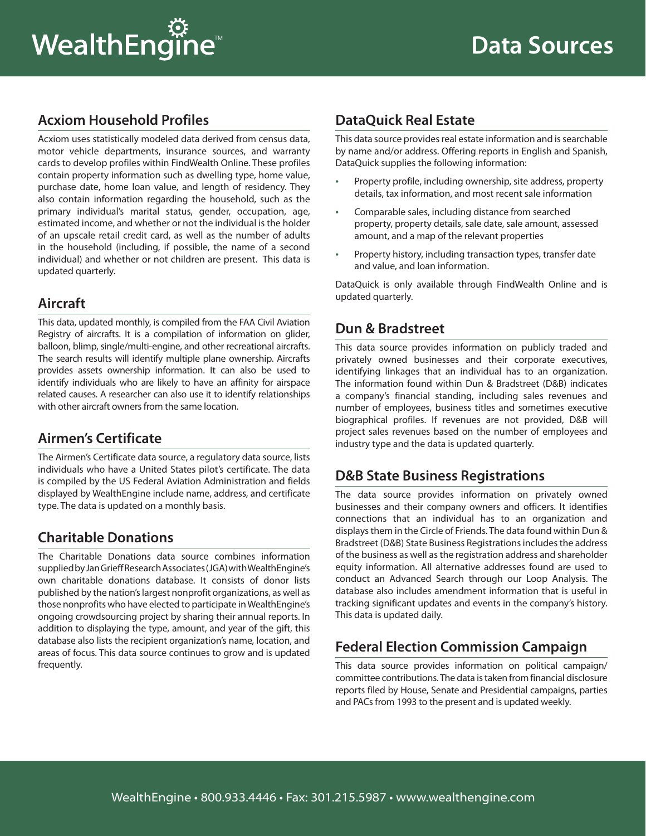# **WealthEngine**™

# **Acxiom Household Profiles**

Acxiom uses statistically modeled data derived from census data, motor vehicle departments, insurance sources, and warranty cards to develop profiles within FindWealth Online. These profiles contain property information such as dwelling type, home value, purchase date, home loan value, and length of residency. They also contain information regarding the household, such as the primary individual's marital status, gender, occupation, age, estimated income, and whether or not the individual is the holder of an upscale retail credit card, as well as the number of adults in the household (including, if possible, the name of a second individual) and whether or not children are present. This data is updated quarterly.

# **Aircraft**

This data, updated monthly, is compiled from the FAA Civil Aviation Registry of aircrafts. It is a compilation of information on glider, balloon, blimp, single/multi-engine, and other recreational aircrafts. The search results will identify multiple plane ownership. Aircrafts provides assets ownership information. It can also be used to identify individuals who are likely to have an affinity for airspace related causes. A researcher can also use it to identify relationships with other aircraft owners from the same location.

# **Airmen's Certificate**

The Airmen's Certificate data source, a regulatory data source, lists individuals who have a United States pilot's certificate. The data is compiled by the US Federal Aviation Administration and fields displayed by WealthEngine include name, address, and certificate type. The data is updated on a monthly basis.

# **Charitable Donations**

The Charitable Donations data source combines information supplied by Jan Grieff Research Associates (JGA) with WealthEngine's own charitable donations database. It consists of donor lists published by the nation's largest nonprofit organizations, as well as those nonprofits who have elected to participate in WealthEngine's ongoing crowdsourcing project by sharing their annual reports. In addition to displaying the type, amount, and year of the gift, this database also lists the recipient organization's name, location, and areas of focus. This data source continues to grow and is updated frequently.

# **DataQuick Real Estate**

This data source provides real estate information and is searchable by name and/or address. Offering reports in English and Spanish, DataQuick supplies the following information:

- Property profile, including ownership, site address, property details, tax information, and most recent sale information
- Comparable sales, including distance from searched property, property details, sale date, sale amount, assessed amount, and a map of the relevant properties
- Property history, including transaction types, transfer date and value, and loan information.

DataQuick is only available through FindWealth Online and is updated quarterly.

# **Dun & Bradstreet**

This data source provides information on publicly traded and privately owned businesses and their corporate executives, identifying linkages that an individual has to an organization. The information found within Dun & Bradstreet (D&B) indicates a company's financial standing, including sales revenues and number of employees, business titles and sometimes executive biographical profiles. If revenues are not provided, D&B will project sales revenues based on the number of employees and industry type and the data is updated quarterly.

#### **D&B State Business Registrations**

The data source provides information on privately owned businesses and their company owners and officers. It identifies connections that an individual has to an organization and displays them in the Circle of Friends. The data found within Dun & Bradstreet (D&B) State Business Registrations includes the address of the business as well as the registration address and shareholder equity information. All alternative addresses found are used to conduct an Advanced Search through our Loop Analysis. The database also includes amendment information that is useful in tracking significant updates and events in the company's history. This data is updated daily.

# **Federal Election Commission Campaign**

This data source provides information on political campaign/ committee contributions. The data is taken from financial disclosure reports filed by House, Senate and Presidential campaigns, parties and PACs from 1993 to the present and is updated weekly.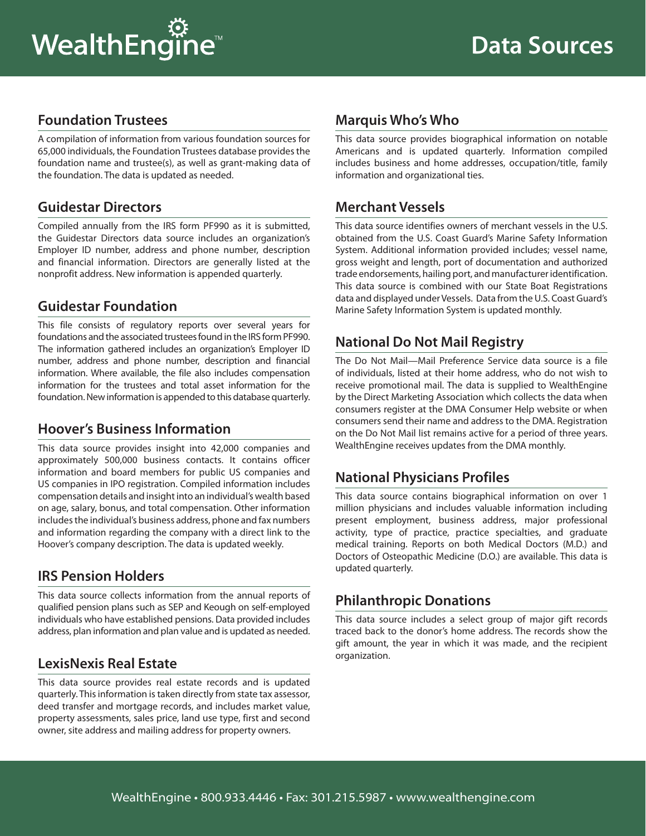#### **Foundation Trustees**

A compilation of information from various foundation sources for 65,000 individuals, the Foundation Trustees database provides the foundation name and trustee(s), as well as grant-making data of the foundation. The data is updated as needed.

#### **Guidestar Directors**

Compiled annually from the IRS form PF990 as it is submitted, the Guidestar Directors data source includes an organization's Employer ID number, address and phone number, description and financial information. Directors are generally listed at the nonprofit address. New information is appended quarterly.

#### **Guidestar Foundation**

This file consists of regulatory reports over several years for foundations and the associated trustees found in the IRS form PF990. The information gathered includes an organization's Employer ID number, address and phone number, description and financial information. Where available, the file also includes compensation information for the trustees and total asset information for the foundation. New information is appended to this database quarterly.

#### **Hoover's Business Information**

This data source provides insight into 42,000 companies and approximately 500,000 business contacts. It contains officer information and board members for public US companies and US companies in IPO registration. Compiled information includes compensation details and insight into an individual's wealth based on age, salary, bonus, and total compensation. Other information includes the individual's business address, phone and fax numbers and information regarding the company with a direct link to the Hoover's company description. The data is updated weekly.

# **IRS Pension Holders**

This data source collects information from the annual reports of qualified pension plans such as SEP and Keough on self-employed individuals who have established pensions. Data provided includes address, plan information and plan value and is updated as needed.

# **LexisNexis Real Estate**

This data source provides real estate records and is updated quarterly. This information is taken directly from state tax assessor, deed transfer and mortgage records, and includes market value, property assessments, sales price, land use type, first and second owner, site address and mailing address for property owners.

# **Marquis Who's Who**

This data source provides biographical information on notable Americans and is updated quarterly. Information compiled includes business and home addresses, occupation/title, family information and organizational ties.

#### **Merchant Vessels**

This data source identifies owners of merchant vessels in the U.S. obtained from the U.S. Coast Guard's Marine Safety Information System. Additional information provided includes; vessel name, gross weight and length, port of documentation and authorized trade endorsements, hailing port, and manufacturer identification. This data source is combined with our State Boat Registrations data and displayed under Vessels. Data from the U.S. Coast Guard's Marine Safety Information System is updated monthly.

# **National Do Not Mail Registry**

The Do Not Mail—Mail Preference Service data source is a file of individuals, listed at their home address, who do not wish to receive promotional mail. The data is supplied to WealthEngine by the Direct Marketing Association which collects the data when consumers register at the DMA Consumer Help website or when consumers send their name and address to the DMA. Registration on the Do Not Mail list remains active for a period of three years. WealthEngine receives updates from the DMA monthly.

# **National Physicians Profiles**

This data source contains biographical information on over 1 million physicians and includes valuable information including present employment, business address, major professional activity, type of practice, practice specialties, and graduate medical training. Reports on both Medical Doctors (M.D.) and Doctors of Osteopathic Medicine (D.O.) are available. This data is updated quarterly.

# **Philanthropic Donations**

This data source includes a select group of major gift records traced back to the donor's home address. The records show the gift amount, the year in which it was made, and the recipient organization.